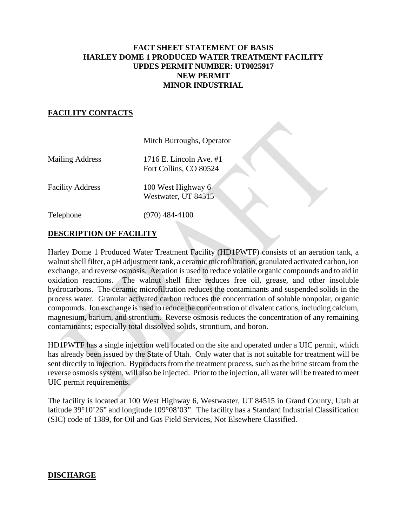## **FACT SHEET STATEMENT OF BASIS HARLEY DOME 1 PRODUCED WATER TREATMENT FACILITY UPDES PERMIT NUMBER: UT0025917 NEW PERMIT MINOR INDUSTRIAL**

### **FACILITY CONTACTS**

|                         | Mitch Burroughs, Operator                           |
|-------------------------|-----------------------------------------------------|
| <b>Mailing Address</b>  | 1716 E. Lincoln Ave. $#1$<br>Fort Collins, CO 80524 |
| <b>Facility Address</b> | 100 West Highway 6<br>Westwater, UT 84515           |
| Telephone               | $) 484 - 4100$                                      |

### **DESCRIPTION OF FACILITY**

Harley Dome 1 Produced Water Treatment Facility (HD1PWTF) consists of an aeration tank, a walnut shell filter, a pH adjustment tank, a ceramic microfiltration, granulated activated carbon, ion exchange, and reverse osmosis. Aeration is used to reduce volatile organic compounds and to aid in oxidation reactions. The walnut shell filter reduces free oil, grease, and other insoluble hydrocarbons. The ceramic microfiltration reduces the contaminants and suspended solids in the process water. Granular activated carbon reduces the concentration of soluble nonpolar, organic compounds. Ion exchange is used to reduce the concentration of divalent cations, including calcium, magnesium, barium, and strontium. Reverse osmosis reduces the concentration of any remaining contaminants; especially total dissolved solids, strontium, and boron.

HD1PWTF has a single injection well located on the site and operated under a UIC permit, which has already been issued by the State of Utah. Only water that is not suitable for treatment will be sent directly to injection. Byproducts from the treatment process, such as the brine stream from the reverse osmosis system, will also be injected. Prior to the injection, all water will be treated to meet UIC permit requirements.

The facility is located at 100 West Highway 6, Westwaster, UT 84515 in Grand County, Utah at latitude 39°10'26" and longitude 109°08'03". The facility has a Standard Industrial Classification (SIC) code of 1389, for Oil and Gas Field Services, Not Elsewhere Classified.

#### **DISCHARGE**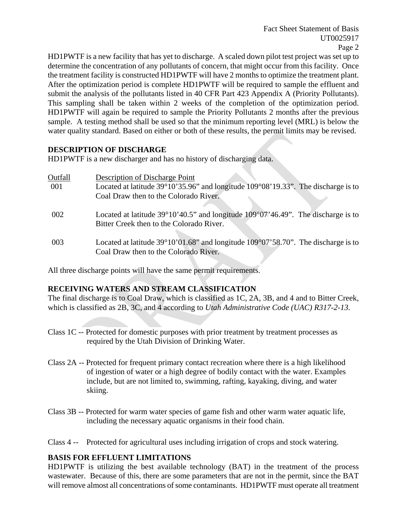HD1PWTF is a new facility that has yet to discharge. A scaled down pilot test project was set up to determine the concentration of any pollutants of concern, that might occur from this facility. Once the treatment facility is constructed HD1PWTF will have 2 months to optimize the treatment plant. After the optimization period is complete HD1PWTF will be required to sample the effluent and submit the analysis of the pollutants listed in 40 CFR Part 423 Appendix A (Priority Pollutants). This sampling shall be taken within 2 weeks of the completion of the optimization period. HD1PWTF will again be required to sample the Priority Pollutants 2 months after the previous sample. A testing method shall be used so that the minimum reporting level (MRL) is below the water quality standard. Based on either or both of these results, the permit limits may be revised.

## **DESCRIPTION OF DISCHARGE**

HD1PWTF is a new discharger and has no history of discharging data.

| Outfall | <b>Description of Discharge Point</b>                                                                                                           |
|---------|-------------------------------------------------------------------------------------------------------------------------------------------------|
| 001     | Located at latitude $39^{\circ}10'35.96"$ and longitude $109^{\circ}08'19.33"$ . The discharge is to                                            |
|         | Coal Draw then to the Colorado River.                                                                                                           |
| 002     | Located at latitude $39^{\circ}10'40.5"$ and longitude $109^{\circ}07'46.49"$ . The discharge is to<br>Bitter Creek then to the Colorado River. |
| 003     | Located at latitude $39^{\circ}10'01.68"$ and longitude $109^{\circ}07'58.70"$ . The discharge is to<br>Coal Draw then to the Colorado River.   |

All three discharge points will have the same permit requirements.

# **RECEIVING WATERS AND STREAM CLASSIFICATION**

The final discharge is to Coal Draw, which is classified as 1C, 2A, 3B, and 4 and to Bitter Creek, which is classified as 2B, 3C, and 4 according to *Utah Administrative Code (UAC) R317-2-13.*

- Class 1C -- Protected for domestic purposes with prior treatment by treatment processes as required by the Utah Division of Drinking Water.
- Class 2A -- Protected for frequent primary contact recreation where there is a high likelihood of ingestion of water or a high degree of bodily contact with the water. Examples include, but are not limited to, swimming, rafting, kayaking, diving, and water skiing.
- Class 3B -- Protected for warm water species of game fish and other warm water aquatic life, including the necessary aquatic organisms in their food chain.

Class 4 -- Protected for agricultural uses including irrigation of crops and stock watering.

## **BASIS FOR EFFLUENT LIMITATIONS**

HD1PWTF is utilizing the best available technology (BAT) in the treatment of the process wastewater. Because of this, there are some parameters that are not in the permit, since the BAT will remove almost all concentrations of some contaminants. HD1PWTF must operate all treatment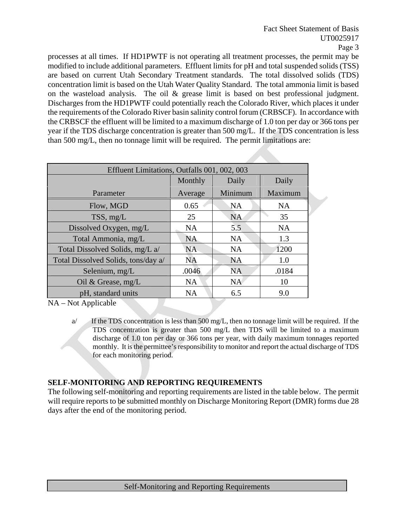processes at all times. If HD1PWTF is not operating all treatment processes, the permit may be modified to include additional parameters. Effluent limits for pH and total suspended solids (TSS) are based on current Utah Secondary Treatment standards. The total dissolved solids (TDS) concentration limit is based on the Utah Water Quality Standard. The total ammonia limit is based on the wasteload analysis. The oil & grease limit is based on best professional judgment. Discharges from the HD1PWTF could potentially reach the Colorado River, which places it under the requirements of the Colorado River basin salinity control forum (CRBSCF). In accordance with the CRBSCF the effluent will be limited to a maximum discharge of 1.0 ton per day or 366 tons per year if the TDS discharge concentration is greater than 500 mg/L. If the TDS concentration is less than 500 mg/L, then no tonnage limit will be required. The permit limitations are:

| Effluent Limitations, Outfalls 001, 002, 003 |           |           |  |  |  |
|----------------------------------------------|-----------|-----------|--|--|--|
| Monthly                                      | Daily     | Daily     |  |  |  |
| Average                                      | Minimum   | Maximum   |  |  |  |
| 0.65                                         | <b>NA</b> | <b>NA</b> |  |  |  |
| 25                                           | <b>NA</b> | 35        |  |  |  |
| <b>NA</b>                                    | 5.5       | <b>NA</b> |  |  |  |
| <b>NA</b>                                    | <b>NA</b> | 1.3       |  |  |  |
| <b>NA</b>                                    | <b>NA</b> | 1200      |  |  |  |
| <b>NA</b>                                    | <b>NA</b> | 1.0       |  |  |  |
| .0046                                        | <b>NA</b> | .0184     |  |  |  |
| <b>NA</b>                                    | <b>NA</b> | 10        |  |  |  |
| <b>NA</b>                                    | 6.5       | 9.0       |  |  |  |
|                                              |           |           |  |  |  |

NA – Not Applicable

## **SELF-MONITORING AND REPORTING REQUIREMENTS**

The following self-monitoring and reporting requirements are listed in the table below. The permit will require reports to be submitted monthly on Discharge Monitoring Report (DMR) forms due 28 days after the end of the monitoring period.

a/ If the TDS concentration is less than 500 mg/L, then no tonnage limit will be required. If the TDS concentration is greater than 500 mg/L then TDS will be limited to a maximum discharge of 1.0 ton per day or 366 tons per year, with daily maximum tonnages reported monthly. It is the permittee's responsibility to monitor and report the actual discharge of TDS for each monitoring period.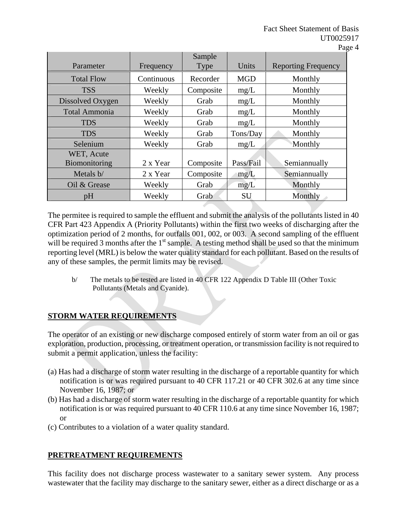| Parameter                   | Frequency  | Sample<br>Type | Units      | <b>Reporting Frequency</b> |
|-----------------------------|------------|----------------|------------|----------------------------|
| <b>Total Flow</b>           | Continuous | Recorder       | <b>MGD</b> | Monthly                    |
| <b>TSS</b>                  | Weekly     | Composite      | mg/L       | Monthly                    |
| Dissolved Oxygen            | Weekly     | Grab           | mg/L       | Monthly                    |
| <b>Total Ammonia</b>        | Weekly     | Grab           | mg/L       | Monthly                    |
| <b>TDS</b>                  | Weekly     | Grab           | mg/L       | Monthly                    |
| <b>TDS</b>                  | Weekly     | Grab           | Tons/Day   | Monthly                    |
| Selenium                    | Weekly     | Grab           | mg/L       | Monthly                    |
| WET, Acute<br>Biomonitoring | 2 x Year   | Composite      | Pass/Fail  | Semiannually               |
| Metals b/                   | 2 x Year   | Composite      | mg/L       | Semiannually               |
| Oil & Grease                | Weekly     | Grab           | mg/L       | Monthly                    |
| pH                          | Weekly     | Grab           | <b>SU</b>  | Monthly                    |

The permitee is required to sample the effluent and submit the analysis of the pollutants listed in 40 CFR Part 423 Appendix A (Priority Pollutants) within the first two weeks of discharging after the optimization period of 2 months, for outfalls 001, 002, or 003. A second sampling of the effluent will be required 3 months after the  $1<sup>st</sup>$  sample. A testing method shall be used so that the minimum reporting level (MRL) is below the water quality standard for each pollutant. Based on the results of any of these samples, the permit limits may be revised.

b/ The metals to be tested are listed in 40 CFR 122 Appendix D Table III (Other Toxic Pollutants (Metals and Cyanide).

# **STORM WATER REQUIREMENTS**

The operator of an existing or new discharge composed entirely of storm water from an oil or gas exploration, production, processing, or treatment operation, or transmission facility is not required to submit a permit application, unless the facility:

- (a) Has had a discharge of storm water resulting in the discharge of a reportable quantity for which notification is or was required pursuant to 40 CFR 117.21 or 40 CFR 302.6 at any time since November 16, 1987; or
- (b) Has had a discharge of storm water resulting in the discharge of a reportable quantity for which notification is or was required pursuant to 40 CFR 110.6 at any time since November 16, 1987; or
- (c) Contributes to a violation of a water quality standard.

# **PRETREATMENT REQUIREMENTS**

This facility does not discharge process wastewater to a sanitary sewer system. Any process wastewater that the facility may discharge to the sanitary sewer, either as a direct discharge or as a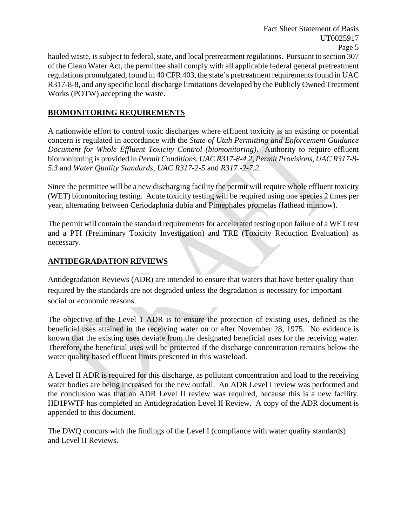hauled waste, is subject to federal, state, and local pretreatment regulations. Pursuant to section 307 of the Clean Water Act, the permittee shall comply with all applicable federal general pretreatment regulations promulgated, found in 40 CFR 403, the state's pretreatment requirements found in UAC R317-8-8, and any specific local discharge limitations developed by the Publicly Owned Treatment Works (POTW) accepting the waste.

# **BIOMONITORING REQUIREMENTS**

A nationwide effort to control toxic discharges where effluent toxicity is an existing or potential concern is regulated in accordance with the *State of Utah Permitting and Enforcement Guidance Document for Whole Effluent Toxicity Control (biomonitoring)*. Authority to require effluent biomonitoring is provided in *Permit Conditions, UAC R317-8-4.2, Permit Provisions, UAC R317-8- 5.3* and *Water Quality Standards, UAC R317-2-5* and *R317 -2-7.2*.

Since the permittee will be a new discharging facility the permit will require whole effluent toxicity (WET) biomonitoring testing. Acute toxicity testing will be required using one species 2 times per year, alternating between Ceriodaphnia dubia and Pimephales promelas (fathead minnow).

The permit will contain the standard requirements for accelerated testing upon failure of a WET test and a PTI (Preliminary Toxicity Investigation) and TRE (Toxicity Reduction Evaluation) as necessary.

## **ANTIDEGRADATION REVIEWS**

Antidegradation Reviews (ADR) are intended to ensure that waters that have better quality than required by the standards are not degraded unless the degradation is necessary for important social or economic reasons.

The objective of the Level 1 ADR is to ensure the protection of existing uses, defined as the beneficial uses attained in the receiving water on or after November 28, 1975. No evidence is known that the existing uses deviate from the designated beneficial uses for the receiving water. Therefore, the beneficial uses will be protected if the discharge concentration remains below the water quality based effluent limits presented in this wasteload.

A Level II ADR is required for this discharge, as pollutant concentration and load to the receiving water bodies are being increased for the new outfall. An ADR Level I review was performed and the conclusion was that an ADR Level II review was required, because this is a new facility. HD1PWTF has completed an Antidegradation Level II Review. A copy of the ADR document is appended to this document.

The DWQ concurs with the findings of the Level I (compliance with water quality standards) and Level II Reviews.